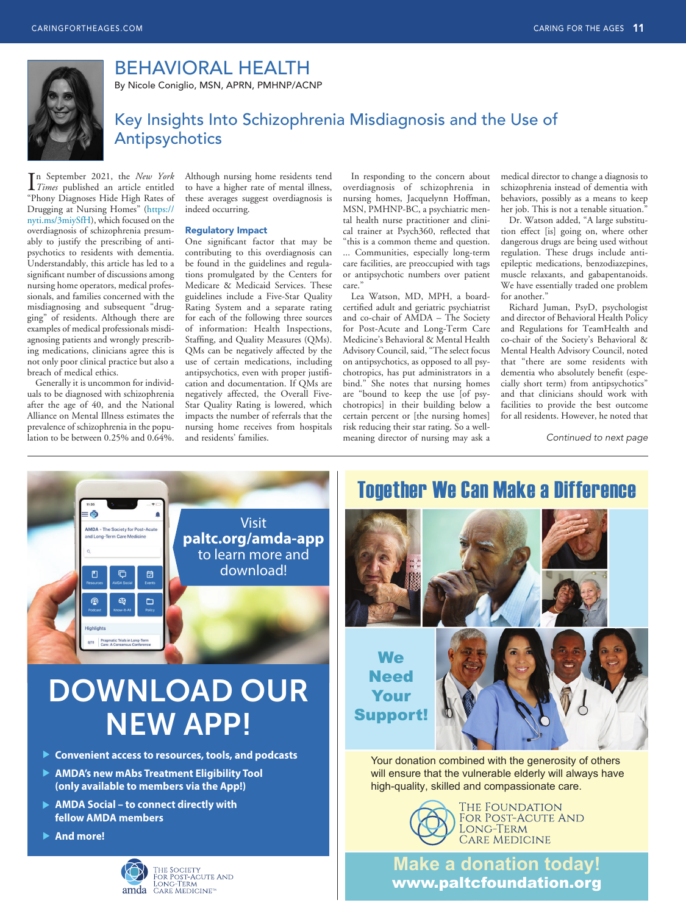

## BEHAVIORAL HEALTH

By Nicole Coniglio, MSN, APRN, PMHNP/ACNP

### Key Insights Into Schizophrenia Misdiagnosis and the Use of Antipsychotics

In September 2021, the *New York*<br>Times published an article entitled *Times* published an article entitled "Phony Diagnoses Hide High Rates of Drugging at Nursing Homes" ([https://](https://nyti.ms/3miySfH) [nyti.ms/3miySfH](https://nyti.ms/3miySfH)), which focused on the overdiagnosis of schizophrenia presumably to justify the prescribing of antipsychotics to residents with dementia. Understandably, this article has led to a significant number of discussions among nursing home operators, medical professionals, and families concerned with the misdiagnosing and subsequent "drugging" of residents. Although there are examples of medical professionals misdiagnosing patients and wrongly prescribing medications, clinicians agree this is not only poor clinical practice but also a breach of medical ethics.

Generally it is uncommon for individuals to be diagnosed with schizophrenia after the age of 40, and the National Alliance on Mental Illness estimates the prevalence of schizophrenia in the population to be between 0.25% and 0.64%.

Although nursing home residents tend to have a higher rate of mental illness, these averages suggest overdiagnosis is indeed occurring.

#### Regulatory Impact

One significant factor that may be contributing to this overdiagnosis can be found in the guidelines and regulations promulgated by the Centers for Medicare & Medicaid Services. These guidelines include a Five-Star Quality Rating System and a separate rating for each of the following three sources of information: Health Inspections, Staffing, and Quality Measures (QMs). QMs can be negatively affected by the use of certain medications, including antipsychotics, even with proper justification and documentation. If QMs are negatively affected, the Overall Five-Star Quality Rating is lowered, which impacts the number of referrals that the nursing home receives from hospitals and residents' families.

In responding to the concern about overdiagnosis of schizophrenia in nursing homes, Jacquelynn Hoffman, MSN, PMHNP-BC, a psychiatric mental health nurse practitioner and clinical trainer at Psych360, reflected that "this is a common theme and question. ... Communities, especially long-term care facilities, are preoccupied with tags or antipsychotic numbers over patient care."

Lea Watson, MD, MPH, a boardcertified adult and geriatric psychiatrist and co-chair of AMDA – The Society for Post-Acute and Long-Term Care Medicine's Behavioral & Mental Health Advisory Council, said, "The select focus on antipsychotics, as opposed to all psychotropics, has put administrators in a bind." She notes that nursing homes are "bound to keep the use [of psychotropics] in their building below a certain percent or [the nursing homes] risk reducing their star rating. So a wellmeaning director of nursing may ask a

medical director to change a diagnosis to schizophrenia instead of dementia with behaviors, possibly as a means to keep her job. This is not a tenable situation."

Dr. Watson added, "A large substitution effect [is] going on, where other dangerous drugs are being used without regulation. These drugs include antiepileptic medications, benzodiazepines, muscle relaxants, and gabapentanoids. We have essentially traded one problem for another."

Richard Juman, PsyD, psychologist and director of Behavioral Health Policy and Regulations for TeamHealth and co-chair of the Society's Behavioral & Mental Health Advisory Council, noted that "there are some residents with dementia who absolutely benefit (especially short term) from antipsychotics" and that clinicians should work with facilities to provide the best outcome for all residents. However, he noted that

*Continued to next page*



# DOWNLOAD OUR NEW APP!

- **Convenient access to resources, tools, and podcasts**
- **AMDA's new mAbs Treatment Eligibility Tool (only available to members via the App!)**
- **AMDA Social to connect directly with fellow AMDA members**
- **And more!**



# THE SOCIETY<br>FOR POST-ACUTE AND<br>LONG-TERM<br>**amda** CARE MEDICINE<sup>N</sup>

## Together We Can Make a Difference



Your donation combined with the generosity of others will ensure that the vulnerable elderly will always have high-quality, skilled and compassionate care.



The Foundation FOR POST-ACUTE AND LONG-TERM CARE MEDICINE

**Make a donation today!**  [www.paltcfoundation.org](http://www.paltcfoundation.org)